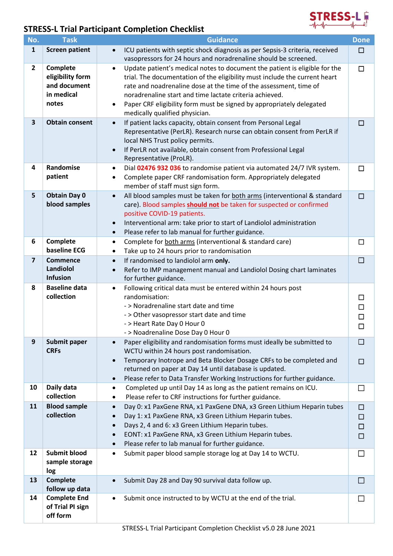

## **STRESS-L Trial Participant Completion Checklist**

| No.                     | <b>Task</b>                                                         | <b>Guidance</b>                                                                                                                                                                                                                                                                                                                                                                                                 | <b>Done</b>              |
|-------------------------|---------------------------------------------------------------------|-----------------------------------------------------------------------------------------------------------------------------------------------------------------------------------------------------------------------------------------------------------------------------------------------------------------------------------------------------------------------------------------------------------------|--------------------------|
| $\mathbf{1}$            | <b>Screen patient</b>                                               | ICU patients with septic shock diagnosis as per Sepsis-3 criteria, received<br>$\bullet$<br>vasopressors for 24 hours and noradrenaline should be screened.                                                                                                                                                                                                                                                     | $\Box$                   |
| $\overline{2}$          | Complete<br>eligibility form<br>and document<br>in medical<br>notes | Update patient's medical notes to document the patient is eligible for the<br>$\bullet$<br>trial. The documentation of the eligibility must include the current heart<br>rate and noadrenaline dose at the time of the assessment, time of<br>noradrenaline start and time lactate criteria achieved.<br>Paper CRF eligibility form must be signed by appropriately delegated<br>medically qualified physician. | □                        |
| $\overline{\mathbf{3}}$ | <b>Obtain consent</b>                                               | If patient lacks capacity, obtain consent from Personal Legal<br>$\bullet$<br>Representative (PerLR). Research nurse can obtain consent from PerLR if<br>local NHS Trust policy permits.<br>If PerLR not available, obtain consent from Professional Legal<br>$\bullet$<br>Representative (ProLR).                                                                                                              | □                        |
| 4                       | Randomise<br>patient                                                | Dial 02476 932 036 to randomise patient via automated 24/7 IVR system.<br>$\bullet$<br>Complete paper CRF randomisation form. Appropriately delegated<br>$\bullet$<br>member of staff must sign form.                                                                                                                                                                                                           | □                        |
| 5                       | <b>Obtain Day 0</b><br>blood samples                                | All blood samples must be taken for both arms (interventional & standard<br>$\bullet$<br>care). Blood samples should not be taken for suspected or confirmed<br>positive COVID-19 patients.<br>Interventional arm: take prior to start of Landiolol administration<br>$\bullet$<br>Please refer to lab manual for further guidance.<br>$\bullet$                                                                | □                        |
| 6                       | Complete<br>baseline ECG                                            | Complete for both arms (interventional & standard care)<br>٠<br>Take up to 24 hours prior to randomisation<br>٠                                                                                                                                                                                                                                                                                                 | □                        |
| $\overline{\mathbf{z}}$ | <b>Commence</b><br>Landiolol<br><b>Infusion</b>                     | If randomised to landiolol arm only.<br>$\bullet$<br>Refer to IMP management manual and Landiolol Dosing chart laminates<br>$\bullet$<br>for further guidance.                                                                                                                                                                                                                                                  | □                        |
| 8                       | <b>Baseline data</b><br>collection                                  | Following critical data must be entered within 24 hours post<br>$\bullet$<br>randomisation:<br>- > Noradrenaline start date and time<br>- > Other vasopressor start date and time<br>- > Heart Rate Day 0 Hour 0<br>- > Noadrenaline Dose Day 0 Hour 0                                                                                                                                                          | □<br>□<br>□<br>□         |
| 9                       | Submit paper<br><b>CRFs</b>                                         | Paper eligibility and randomisation forms must ideally be submitted to<br>WCTU within 24 hours post randomisation.<br>Temporary Inotrope and Beta Blocker Dosage CRFs to be completed and<br>returned on paper at Day 14 until database is updated.<br>Please refer to Data Transfer Working Instructions for further guidance.<br>$\bullet$                                                                    | <b>College</b><br>$\Box$ |
| 10                      | Daily data<br>collection                                            | Completed up until Day 14 as long as the patient remains on ICU.<br>٠<br>Please refer to CRF instructions for further guidance.<br>٠                                                                                                                                                                                                                                                                            | $\Box$                   |
| 11                      | <b>Blood sample</b><br>collection                                   | Day 0: x1 PaxGene RNA, x1 PaxGene DNA, x3 Green Lithium Heparin tubes<br>$\bullet$<br>Day 1: x1 PaxGene RNA, x3 Green Lithium Heparin tubes.<br>Days 2, 4 and 6: x3 Green Lithium Heparin tubes.<br>EONT: x1 PaxGene RNA, x3 Green Lithium Heparin tubes.<br>$\bullet$<br>Please refer to lab manual for further guidance.<br>$\bullet$                                                                         | □<br>$\Box$<br>□<br>□    |
| 12                      | <b>Submit blood</b><br>sample storage<br>log                        | Submit paper blood sample storage log at Day 14 to WCTU.<br>$\bullet$                                                                                                                                                                                                                                                                                                                                           | $\Box$                   |
| 13                      | <b>Complete</b><br>follow up data                                   | Submit Day 28 and Day 90 survival data follow up.                                                                                                                                                                                                                                                                                                                                                               | ш                        |
| 14                      | <b>Complete End</b><br>of Trial PI sign<br>off form                 | Submit once instructed to by WCTU at the end of the trial.                                                                                                                                                                                                                                                                                                                                                      |                          |